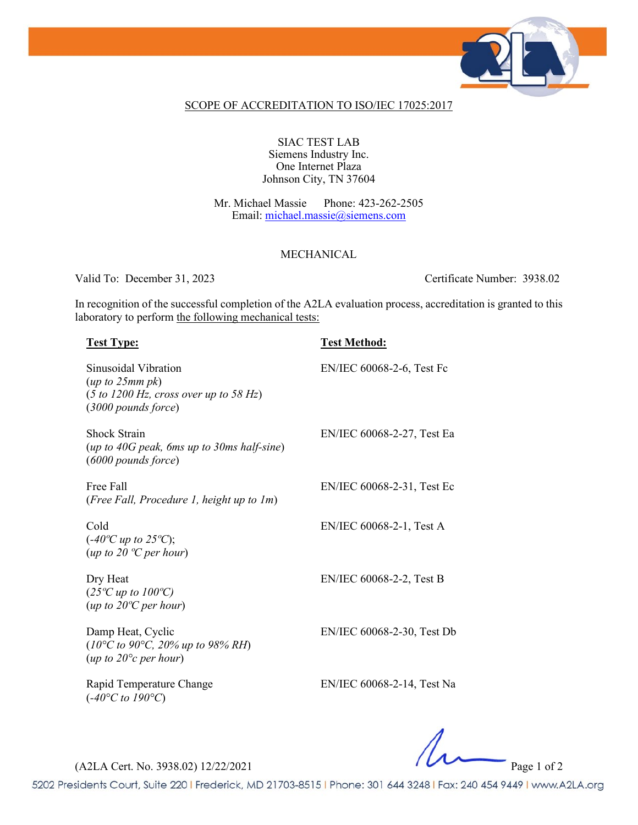

## SCOPE OF ACCREDITATION TO ISO/IEC 17025:2017

## SIAC TEST LAB Siemens Industry Inc. One Internet Plaza Johnson City, TN 37604

Mr. Michael Massie Phone: 423-262-2505 Email: [michael.massie@siemens.com](mailto:michael.massie@siemens.com)

## MECHANICAL

Valid To: December 31, 2023 Certificate Number: 3938.02

In recognition of the successful completion of the A2LA evaluation process, accreditation is granted to this laboratory to perform the following mechanical tests:

## **Test Type: Test Method:**

| Sinusoidal Vibration<br>(up to 25mm pk)<br>$(5 to 1200 Hz, cross over up to 58 Hz)$<br>$(3000$ pounds force) | EN/IEC 60068-2-6, Test Fc  |
|--------------------------------------------------------------------------------------------------------------|----------------------------|
| <b>Shock Strain</b><br>$(up to 40G peak, 6ms up to 30ms half-sine)$<br>$(6000$ pounds force)                 | EN/IEC 60068-2-27, Test Ea |
| Free Fall<br>(Free Fall, Procedure 1, height up to 1m)                                                       | EN/IEC 60068-2-31, Test Ec |
| Cold<br>$(-40^{\circ}C \text{ up to } 25^{\circ}C);$<br>(up to 20 $^{\circ}$ C per hour)                     | EN/IEC 60068-2-1, Test A   |
| Dry Heat<br>$(25^{\circ}C \text{ up to } 100^{\circ}C)$<br>$(up to 20^{\circ}C per hour)$                    | EN/IEC 60068-2-2, Test B   |
| Damp Heat, Cyclic<br>$(10^{\circ}$ C to 90°C, 20% up to 98% RH)<br>(up to $20^{\circ}c$ per hour)            | EN/IEC 60068-2-30, Test Db |

Rapid Temperature Change (*-40°C to 190°C*)

EN/IEC 60068-2-14, Test Na

(A2LA Cert. No. 3938.02) 12/22/2021 Page 1 of 2

5202 Presidents Court, Suite 220 | Frederick, MD 21703-8515 | Phone: 301 644 3248 | Fax: 240 454 9449 | www.A2LA.org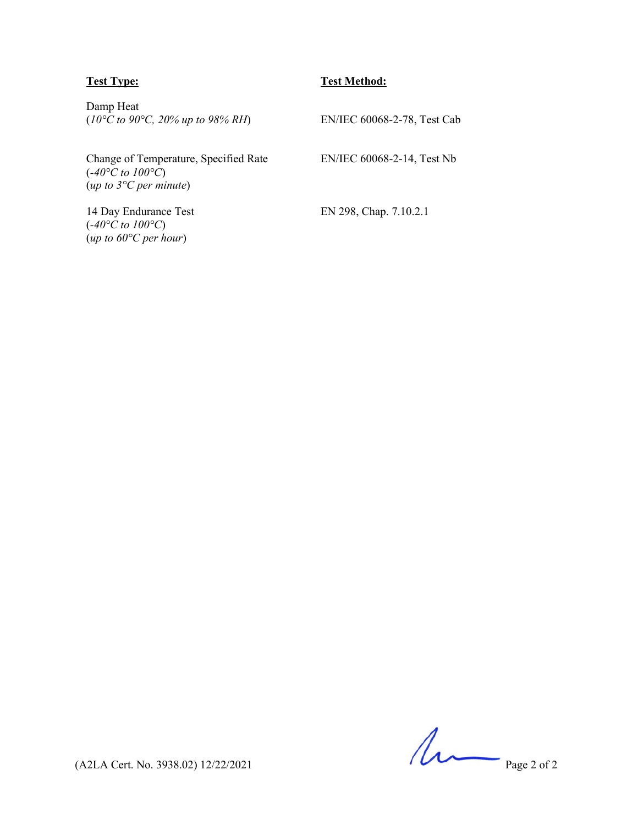## **Test Type: Test Method:**

Damp Heat (*10°C to 90°C, 20% up to 98% RH*) EN/IEC 60068-2-78, Test Cab

Change of Temperature, Specified Rate (*-40°C to 100°C*) (*up to 3°C per minute*)

14 Day Endurance Test (*-40°C to 100°C*) (*up to 60°C per hour*)

EN/IEC 60068-2-14, Test Nb

EN 298, Chap. 7.10.2.1